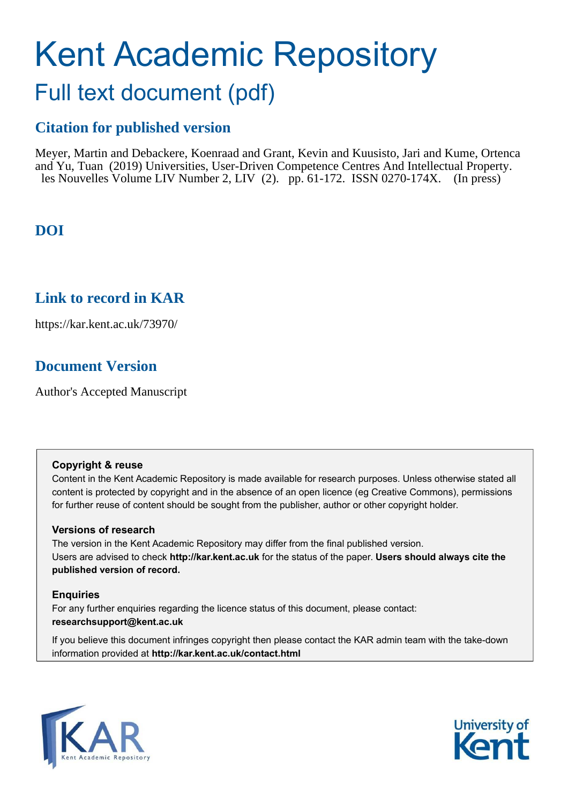# Kent Academic Repository

# Full text document (pdf)

## **Citation for published version**

Meyer, Martin and Debackere, Koenraad and Grant, Kevin and Kuusisto, Jari and Kume, Ortenca and Yu, Tuan (2019) Universities, User-Driven Competence Centres And Intellectual Property. les Nouvelles Volume LIV Number 2, LIV (2). pp. 61-172. ISSN 0270-174X. (In press)

## **DOI**

### **Link to record in KAR**

https://kar.kent.ac.uk/73970/

## **Document Version**

Author's Accepted Manuscript

#### **Copyright & reuse**

Content in the Kent Academic Repository is made available for research purposes. Unless otherwise stated all content is protected by copyright and in the absence of an open licence (eg Creative Commons), permissions for further reuse of content should be sought from the publisher, author or other copyright holder.

#### **Versions of research**

The version in the Kent Academic Repository may differ from the final published version. Users are advised to check **http://kar.kent.ac.uk** for the status of the paper. **Users should always cite the published version of record.**

#### **Enquiries**

For any further enquiries regarding the licence status of this document, please contact: **researchsupport@kent.ac.uk**

If you believe this document infringes copyright then please contact the KAR admin team with the take-down information provided at **http://kar.kent.ac.uk/contact.html**



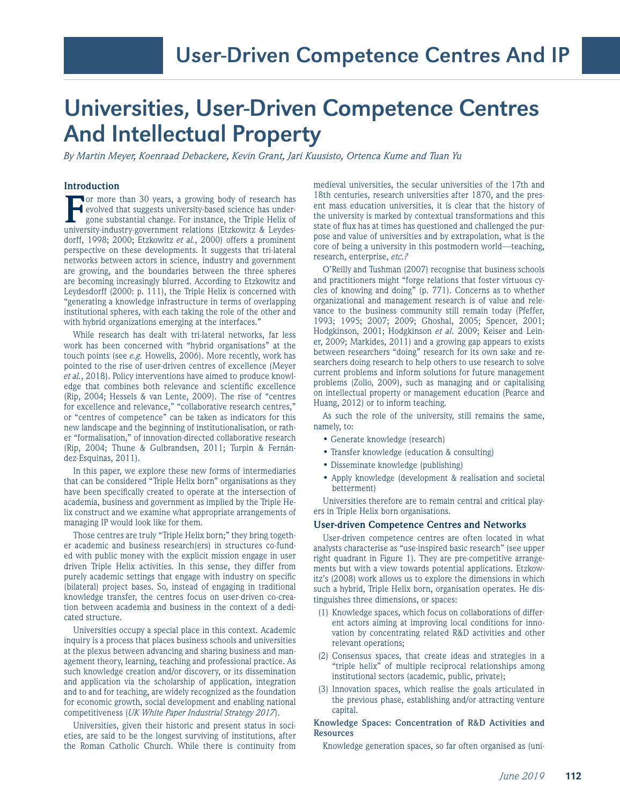## Universities, User-Driven Competence Centres And Intellectual Property

*By Martin Meyer, Koenraad Debackere, Kevin Grant, Jari Kuusisto, Ortenca Kume and Tuan Yu*

#### **Introduction**

**FR** or more than 30 years, a growing body of research has evolved that suggests university-based science has undergone substantial change. For instance, the Triple Helix of university-industry-government relations (Etzkow or more than 30 years, a growing body of research has evolved that suggests university-based science has undergone substantial change. For instance, the Triple Helix of dorff, 1998; 2000; Etzkowitz *et al.*, 2000) offers a prominent perspective on these developments. It suggests that tri-lateral networks between actors in science, industry and government are growing, and the boundaries between the three spheres are becoming increasingly blurred. According to Etzkowitz and Leydesdorff (2000: p. 111), the Triple Helix is concerned with "generating a knowledge infrastructure in terms of overlapping institutional spheres, with each taking the role of the other and with hybrid organizations emerging at the interfaces."

While research has dealt with tri-lateral networks, far less work has been concerned with "hybrid organisations" at the touch points (see *e.g.* Howells, 2006). More recently, work has pointed to the rise of user-driven centres of excellence (Meyer *et al.*, 2018). Policy interventions have aimed to produce knowledge that combines both relevance and scientific excellence (Rip, 2004; Hessels & van Lente, 2009). The rise of "centres for excellence and relevance," "collaborative research centres," or "centres of competence" can be taken as indicators for this new landscape and the beginning of institutionalisation, or rather "formalisation," of innovation-directed collaborative research (Rip, 2004; Thune & Gulbrandsen, 2011; Turpin & Fernández-Esquinas, 2011).

In this paper, we explore these new forms of intermediaries that can be considered "Triple Helix born" organisations as they have been specifically created to operate at the intersection of academia, business and government as implied by the Triple Helix construct and we examine what appropriate arrangements of managing IP would look like for them.

Those centres are truly "Triple Helix born;" they bring together academic and business research(ers) in structures co-funded with public money with the explicit mission engage in user driven Triple Helix activities. In this sense, they differ from purely academic settings that engage with industry on specific (bilateral) project bases. So, instead of engaging in traditional knowledge transfer, the centres focus on user-driven co-creation between academia and business in the context of a dedicated structure.

Universities occupy a special place in this context. Academic inquiry is a process that places business schools and universities at the plexus between advancing and sharing business and management theory, learning, teaching and professional practice. As such knowledge creation and/or discovery, or its dissemination and application via the scholarship of application, integration and to and for teaching, are widely recognized as the foundation for economic growth, social development and enabling national competitiveness (*UK White Paper Industrial Strategy 2017*).

Universities, given their historic and present status in societies, are said to be the longest surviving of institutions, after the Roman Catholic Church. While there is continuity from

medieval universities, the secular universities of the 17th and 18th centuries, research universities after 1870, and the present mass education universities, it is clear that the history of the university is marked by contextual transformations and this state of flux has at times has questioned and challenged the purpose and value of universities and by extrapolation, what is the core of being a university in this postmodern world—teaching, research, enterprise, *etc.?*

O'Reilly and Tushman (2007) recognise that business schools and practitioners might "forge relations that foster virtuous cycles of knowing and doing" (p. 771). Concerns as to whether organizational and management research is of value and relevance to the business community still remain today (Pfeffer, 1993; 1995; 2007; 2009; Ghoshal, 2005; Spencer, 2001; Hodgkinson, 2001; Hodgkinson *et al*. 2009; Keiser and Leiner, 2009; Markides, 2011) and a growing gap appears to exists between researchers "doing" research for its own sake and researchers doing research to help others to use research to solve current problems and inform solutions for future management problems (Zollo, 2009), such as managing and or capitalising on intellectual property or management education (Pearce and Huang, 2012) or to inform teaching.

As such the role of the university, still remains the same, namely, to:

- Generate knowledge (research)
- Transfer knowledge (education & consulting)
- Disseminate knowledge (publishing)
- Apply knowledge (development & realisation and societal betterment)

Universities therefore are to remain central and critical players in Triple Helix born organisations.

#### **User-driven Competence Centres and Networks**

User-driven competence centres are often located in what analysts characterise as "use-inspired basic research" (see upper right quadrant in Figure 1). They are pre-competitive arrangements but with a view towards potential applications. Etzkowitz's (2008) work allows us to explore the dimensions in which such a hybrid, Triple Helix born, organisation operates. He distinguishes three dimensions, or spaces:

- (1) Knowledge spaces, which focus on collaborations of different actors aiming at improving local conditions for innovation by concentrating related R&D activities and other relevant operations;
- (2) Consensus spaces, that create ideas and strategies in a "triple helix" of multiple reciprocal relationships among institutional sectors (academic, public, private);
- (3) Innovation spaces, which realise the goals articulated in the previous phase, establishing and/or attracting venture capital.

#### **Knowledge Spaces: Concentration of R&D Activities and Resources**

Knowledge generation spaces, so far often organised as (uni-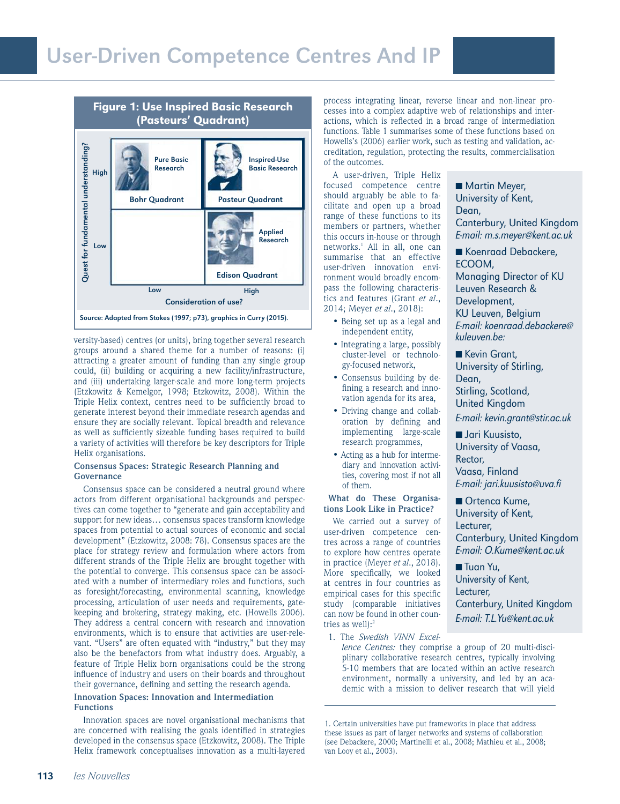

versity-based) centres (or units), bring together several research groups around a shared theme for a number of reasons: (i) attracting a greater amount of funding than any single group could, (ii) building or acquiring a new facility/infrastructure, and (iii) undertaking larger-scale and more long-term projects (Etzkowitz & Kemelgor, 1998; Etzkowitz, 2008). Within the Triple Helix context, centres need to be suficiently broad to generate interest beyond their immediate research agendas and ensure they are socially relevant. Topical breadth and relevance as well as suficiently sizeable funding bases required to build a variety of activities will therefore be key descriptors for Triple Helix organisations.

#### **Consensus Spaces: Strategic Research Planning and Governance**

Consensus space can be considered a neutral ground where actors from different organisational backgrounds and perspectives can come together to "generate and gain acceptability and support for new ideas… consensus spaces transform knowledge spaces from potential to actual sources of economic and social development" (Etzkowitz, 2008: 78). Consensus spaces are the place for strategy review and formulation where actors from different strands of the Triple Helix are brought together with the potential to converge. This consensus space can be associated with a number of intermediary roles and functions, such as foresight/forecasting, environmental scanning, knowledge processing, articulation of user needs and requirements, gatekeeping and brokering, strategy making, etc. (Howells 2006). They address a central concern with research and innovation environments, which is to ensure that activities are user-relevant. "Users" are often equated with "industry," but they may also be the benefactors from what industry does. Arguably, a feature of Triple Helix born organisations could be the strong influence of industry and users on their boards and throughout their governance, defining and setting the research agenda.

#### **Innovation Spaces: Innovation and Intermediation Functions**

Innovation spaces are novel organisational mechanisms that are concerned with realising the goals identified in strategies developed in the consensus space (Etzkowitz, 2008). The Triple Helix framework conceptualises innovation as a multi-layered

process integrating linear, reverse linear and non-linear processes into a complex adaptive web of relationships and interactions, which is reflected in a broad range of intermediation functions. Table 1 summarises some of these functions based on Howells's (2006) earlier work, such as testing and validation, accreditation, regulation, protecting the results, commercialisation of the outcomes.

A user-driven, Triple Helix focused competence centre should arguably be able to facilitate and open up a broad range of these functions to its members or partners, whether this occurs in-house or through networks.<sup>1</sup> All in all, one can summarise that an effective user-driven innovation environment would broadly encompass the following characteristics and features (Grant *et al*., 2014; Meyer *et al*., 2018):

- Being set up as a legal and independent entity,
- Integrating a large, possibly cluster-level or technology-focused network,
- Consensus building by defining a research and innovation agenda for its area,
- Driving change and collaboration by defining and implementing large-scale research programmes,
- Acting as a hub for intermediary and innovation activities, covering most if not all of them.

#### **What do These Organisations Look Like in Practice?**

We carried out a survey of user-driven competence centres across a range of countries to explore how centres operate in practice (Meyer *et al*., 2018). More specifically, we looked at centres in four countries as empirical cases for this specific study (comparable initiatives can now be found in other countries as well): $2$ 

1. The *Swedish VINN Excel-*

*lence Centres:* they comprise a group of 20 multi-disciplinary collaborative research centres, typically involving 5-10 members that are located within an active research environment, normally a university, and led by an academic with a mission to deliver research that will yield

1. Certain universities have put frameworks in place that address these issues as part of larger networks and systems of collaboration (see Debackere, 2000; Martinelli et al., 2008; Mathieu et al., 2008; van Looy et al., 2003).

■ Martin Meyer, University of Kent, Dean, Canterbury, United Kingdom E-mail: m.s.meyer@kent.ac.uk

■ Koenraad Debackere, ECOOM, Managing Director of KU Leuven Research & Development, KU Leuven, Belgium E-mail: koenraad.debackere@ kuleuven.be:

■ Kevin Grant, University of Stirling, Dean, Stirling, Scotland, United Kingdom E-mail: kevin.grant@stir.ac.uk

■ Jari Kuusisto, University of Vaasa,

Rector, Vaasa, Finland E-mail: jari.kuusisto@uva.fi

■ Ortenca Kume, University of Kent, Lecturer, Canterbury, United Kingdom E-mail: O.Kume@kent.ac.uk

■ Tuan Yu, University of Kent, Lecturer, Canterbury, United Kingdom E-mail: T.L.Yu@kent.ac.uk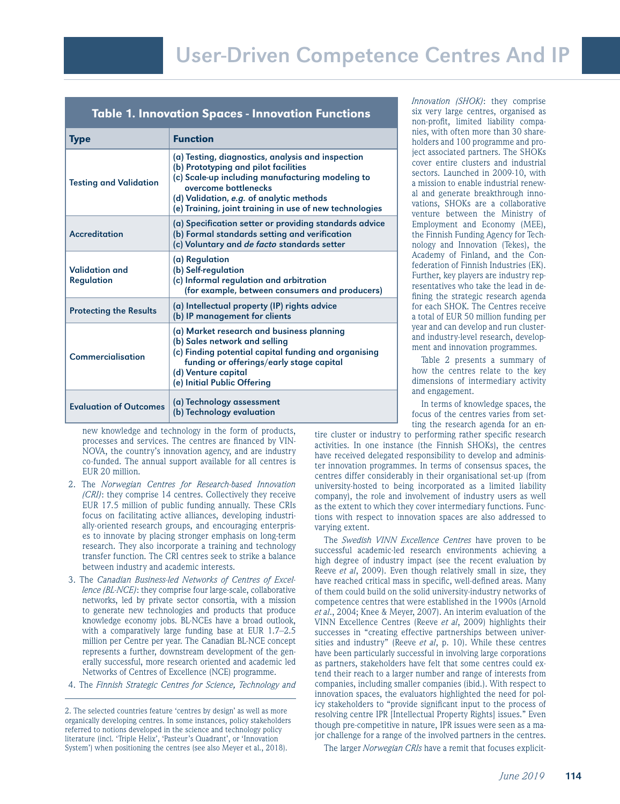#### Table 1. Innovation Spaces - Innovation Functions

| <b>Type</b>                         | <b>Function</b>                                                                                                                                                                                                                                                              |  |
|-------------------------------------|------------------------------------------------------------------------------------------------------------------------------------------------------------------------------------------------------------------------------------------------------------------------------|--|
| <b>Testing and Validation</b>       | (a) Testing, diagnostics, analysis and inspection<br>(b) Prototyping and pilot facilities<br>(c) Scale-up including manufacturing modeling to<br>overcome bottlenecks<br>(d) Validation, e.g. of analytic methods<br>(e) Training, joint training in use of new technologies |  |
| <b>Accreditation</b>                | (a) Specification setter or providing standards advice<br>(b) Formal standards setting and verification<br>(c) Voluntary and de facto standards setter                                                                                                                       |  |
| Validation and<br><b>Regulation</b> | (a) Regulation<br>(b) Self-regulation<br>(c) Informal regulation and arbitration<br>(for example, between consumers and producers)                                                                                                                                           |  |
| <b>Protecting the Results</b>       | (a) Intellectual property (IP) rights advice<br>(b) IP management for clients                                                                                                                                                                                                |  |
| Commercialisation                   | (a) Market research and business planning<br>(b) Sales network and selling<br>(c) Finding potential capital funding and organising<br>funding or offerings/early stage capital<br>(d) Venture capital<br>(e) Initial Public Offering                                         |  |
| <b>Evaluation of Outcomes</b>       | (a) Technology assessment<br>(b) Technology evaluation                                                                                                                                                                                                                       |  |

*Innovation (SHOK)*: they comprise six very large centres, organised as non-profit, limited liability companies, with often more than 30 shareholders and 100 programme and project associated partners. The SHOKs cover entire clusters and industrial sectors. Launched in 2009-10, with a mission to enable industrial renewal and generate breakthrough innovations, SHOKs are a collaborative venture between the Ministry of Employment and Economy (MEE), the Finnish Funding Agency for Technology and Innovation (Tekes), the Academy of Finland, and the Confederation of Finnish Industries (EK). Further, key players are industry representatives who take the lead in defining the strategic research agenda for each SHOK. The Centres receive a total of EUR 50 million funding per year and can develop and run clusterand industry-level research, development and innovation programmes.

Table 2 presents a summary of how the centres relate to the key dimensions of intermediary activity and engagement.

In terms of knowledge spaces, the focus of the centres varies from setting the research agenda for an en-

new knowledge and technology in the form of products, processes and services. The centres are financed by VIN-NOVA, the country's innovation agency, and are industry co-funded. The annual support available for all centres is EUR 20 million.

- 2. The *Norwegian Centres for Research-based Innovation (CRI)*: they comprise 14 centres. Collectively they receive EUR 17.5 million of public funding annually. These CRIs focus on facilitating active alliances, developing industrially-oriented research groups, and encouraging enterprises to innovate by placing stronger emphasis on long-term research. They also incorporate a training and technology transfer function. The CRI centres seek to strike a balance between industry and academic interests.
- 3. The *Canadian Business-led Networks of Centres of Excellence (BL-NCE)*: they comprise four large-scale, collaborative networks, led by private sector consortia, with a mission to generate new technologies and products that produce knowledge economy jobs. BL-NCEs have a broad outlook, with a comparatively large funding base at EUR 1.7–2.5 million per Centre per year. The Canadian BL-NCE concept represents a further, downstream development of the generally successful, more research oriented and academic led Networks of Centres of Excellence (NCE) programme.
- 4. The *Finnish Strategic Centres for Science, Technology and*

tire cluster or industry to performing rather specific research activities. In one instance (the Finnish SHOKs), the centres have received delegated responsibility to develop and administer innovation programmes. In terms of consensus spaces, the centres differ considerably in their organisational set-up (from university-hosted to being incorporated as a limited liability company), the role and involvement of industry users as well as the extent to which they cover intermediary functions. Functions with respect to innovation spaces are also addressed to varying extent.

The *Swedish VINN Excellence Centres* have proven to be successful academic-led research environments achieving a high degree of industry impact (see the recent evaluation by Reeve *et al*, 2009). Even though relatively small in size, they have reached critical mass in specific, well-defined areas. Many of them could build on the solid university-industry networks of competence centres that were established in the 1990s (Arnold *et al*., 2004; Knee & Meyer, 2007). An interim evaluation of the VINN Excellence Centres (Reeve *et al*, 2009) highlights their successes in "creating effective partnerships between universities and industry" (Reeve *et al*, p. 10). While these centres have been particularly successful in involving large corporations as partners, stakeholders have felt that some centres could extend their reach to a larger number and range of interests from companies, including smaller companies (ibid.). With respect to innovation spaces, the evaluators highlighted the need for policy stakeholders to "provide signiicant input to the process of resolving centre IPR [Intellectual Property Rights] issues." Even though pre-competitive in nature, IPR issues were seen as a major challenge for a range of the involved partners in the centres.

The larger *Norwegian CRIs* have a remit that focuses explicit-

<sup>2.</sup> The selected countries feature 'centres by design' as well as more organically developing centres. In some instances, policy stakeholders referred to notions developed in the science and technology policy literature (incl. 'Triple Helix', 'Pasteur's Quadrant', or 'Innovation System') when positioning the centres (see also Meyer et al., 2018).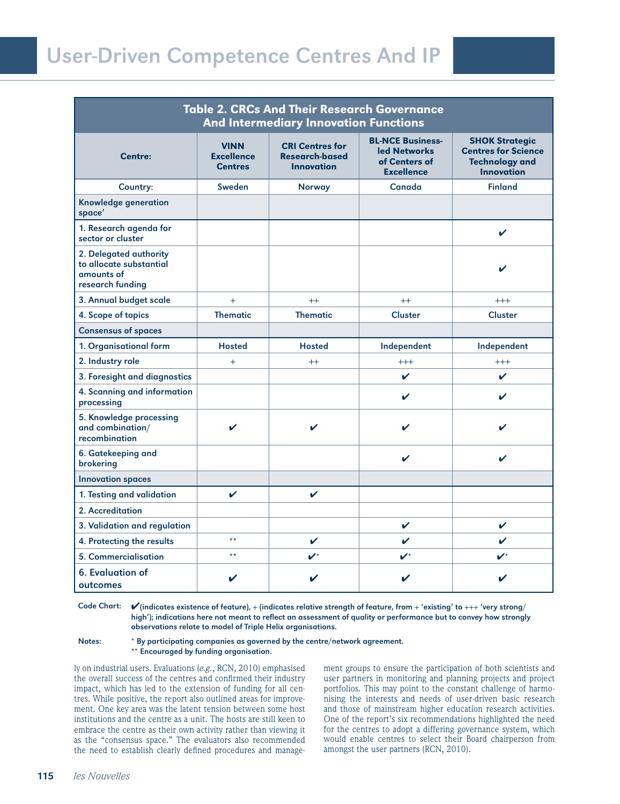| <b>Table 2. CRCs And Their Research Governance</b><br><b>And Intermediary Innovation Functions</b> |                                                    |                                                                      |                                                                               |                                                                                                   |  |  |
|----------------------------------------------------------------------------------------------------|----------------------------------------------------|----------------------------------------------------------------------|-------------------------------------------------------------------------------|---------------------------------------------------------------------------------------------------|--|--|
| <b>Centre:</b>                                                                                     | <b>VINN</b><br><b>Excellence</b><br><b>Centres</b> | <b>CRI Centres for</b><br><b>Research-based</b><br><b>Innovation</b> | <b>BL-NCE Business-</b><br>led Networks<br>of Centers of<br><b>Excellence</b> | <b>SHOK Strategic</b><br><b>Centres for Science</b><br><b>Technology and</b><br><b>Innovation</b> |  |  |
| Country:                                                                                           | Sweden                                             | <b>Norway</b>                                                        | Canada                                                                        | <b>Finland</b>                                                                                    |  |  |
| Knowledge generation<br>space'                                                                     |                                                    |                                                                      |                                                                               |                                                                                                   |  |  |
| 1. Research agenda for<br>sector or cluster                                                        |                                                    |                                                                      |                                                                               | V                                                                                                 |  |  |
| 2. Delegated authority<br>to allocate substantial<br>amounts of<br>research funding                |                                                    |                                                                      |                                                                               | ✓                                                                                                 |  |  |
| 3. Annual budget scale                                                                             | $+$                                                | $^{++}$                                                              | $++$                                                                          | $+++$                                                                                             |  |  |
| 4. Scope of topics                                                                                 | <b>Thematic</b>                                    | <b>Thematic</b>                                                      | <b>Cluster</b>                                                                | Cluster                                                                                           |  |  |
| <b>Consensus of spaces</b>                                                                         |                                                    |                                                                      |                                                                               |                                                                                                   |  |  |
| 1. Organisational form                                                                             | <b>Hosted</b>                                      | <b>Hosted</b>                                                        | Independent                                                                   | Independent                                                                                       |  |  |
| 2. Industry role                                                                                   | $+$                                                | $++$                                                                 | $^{+++}$                                                                      | $^{+++}$                                                                                          |  |  |
| 3. Foresight and diagnostics                                                                       |                                                    |                                                                      | V                                                                             | V                                                                                                 |  |  |
| 4. Scanning and information<br>processing                                                          |                                                    |                                                                      | ✔                                                                             | $\mathbf v$                                                                                       |  |  |
| 5. Knowledge processing<br>and combination/<br>recombination                                       | ✔                                                  | V                                                                    |                                                                               | ✔                                                                                                 |  |  |
| 6. Gatekeeping and<br>brokering                                                                    |                                                    |                                                                      | ✔                                                                             | V                                                                                                 |  |  |
| <b>Innovation spaces</b>                                                                           |                                                    |                                                                      |                                                                               |                                                                                                   |  |  |
| 1. Testing and validation                                                                          | $\mathbf v$                                        | V                                                                    |                                                                               |                                                                                                   |  |  |
| 2. Accreditation                                                                                   |                                                    |                                                                      |                                                                               |                                                                                                   |  |  |
| 3. Validation and regulation                                                                       |                                                    |                                                                      | V                                                                             | V                                                                                                 |  |  |
| 4. Protecting the results                                                                          | $\star\star$                                       | V                                                                    | ✔                                                                             | V                                                                                                 |  |  |
| 5. Commercialisation                                                                               | $\star\star$                                       | $\boldsymbol{\nu}^{\star}$                                           | $\boldsymbol{\nu}^{\star}$                                                    | $\boldsymbol{\nu}^{\star}$                                                                        |  |  |
| <b>6. Evaluation of</b><br>outcomes                                                                | V                                                  |                                                                      |                                                                               |                                                                                                   |  |  |

Code Chart:  $\checkmark$  (indicates existence of feature), + (indicates relative strength of feature, from + 'existing' to +++ 'very strong/ high'); indications here not meant to relect an assessment of quality or performance but to convey how strongly observations relate to model of Triple Helix organisations.

Notes: \* By participating companies as governed by the centre/network agreement. \*\* Encouraged by funding organisation.

ly on industrial users. Evaluations (*e.g.*, RCN, 2010) emphasised the overall success of the centres and confirmed their industry impact, which has led to the extension of funding for all centres. While positive, the report also outlined areas for improvement. One key area was the latent tension between some host institutions and the centre as a unit. The hosts are still keen to embrace the centre as their own activity rather than viewing it as the "consensus space." The evaluators also recommended the need to establish clearly defined procedures and management groups to ensure the participation of both scientists and user partners in monitoring and planning projects and project portfolios. This may point to the constant challenge of harmonising the interests and needs of user-driven basic research and those of mainstream higher education research activities. One of the report's six recommendations highlighted the need for the centres to adopt a differing governance system, which would enable centres to select their Board chairperson from amongst the user partners (RCN, 2010).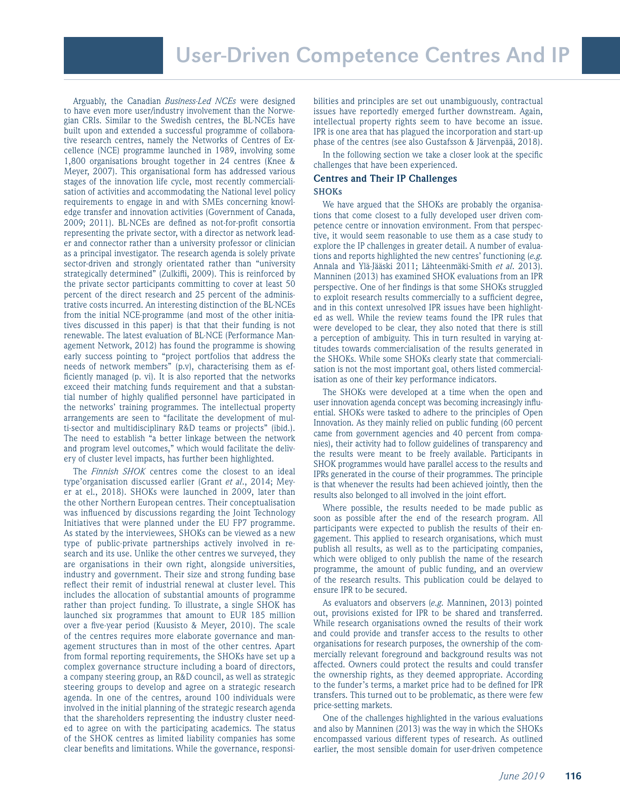Arguably, the Canadian *Business-Led NCEs* were designed to have even more user/industry involvement than the Norwegian CRIs. Similar to the Swedish centres, the BL-NCEs have built upon and extended a successful programme of collaborative research centres, namely the Networks of Centres of Excellence (NCE) programme launched in 1989, involving some 1,800 organisations brought together in 24 centres (Knee & Meyer, 2007). This organisational form has addressed various stages of the innovation life cycle, most recently commercialisation of activities and accommodating the National level policy requirements to engage in and with SMEs concerning knowledge transfer and innovation activities (Government of Canada, 2009; 2011). BL-NCEs are defined as not-for-profit consortia representing the private sector, with a director as network leader and connector rather than a university professor or clinician as a principal investigator. The research agenda is solely private sector-driven and strongly orientated rather than "university strategically determined" (Zulkifli, 2009). This is reinforced by the private sector participants committing to cover at least 50 percent of the direct research and 25 percent of the administrative costs incurred. An interesting distinction of the BL-NCEs from the initial NCE-programme (and most of the other initiatives discussed in this paper) is that that their funding is not renewable. The latest evaluation of BL-NCE (Performance Management Network, 2012) has found the programme is showing early success pointing to "project portfolios that address the needs of network members" (p.v), characterising them as efficiently managed (p. vi). It is also reported that the networks exceed their matching funds requirement and that a substantial number of highly qualified personnel have participated in the networks' training programmes. The intellectual property arrangements are seen to "facilitate the development of multi-sector and multidisciplinary R&D teams or projects" (ibid.). The need to establish "a better linkage between the network and program level outcomes," which would facilitate the delivery of cluster level impacts, has further been highlighted.

The *Finnish SHOK* centres come the closest to an ideal type'organisation discussed earlier (Grant *et al*., 2014; Meyer at el., 2018). SHOKs were launched in 2009, later than the other Northern European centres. Their conceptualisation was influenced by discussions regarding the Joint Technology Initiatives that were planned under the EU FP7 programme. As stated by the interviewees, SHOKs can be viewed as a new type of public-private partnerships actively involved in research and its use. Unlike the other centres we surveyed, they are organisations in their own right, alongside universities, industry and government. Their size and strong funding base reflect their remit of industrial renewal at cluster level. This includes the allocation of substantial amounts of programme rather than project funding. To illustrate, a single SHOK has launched six programmes that amount to EUR 185 million over a five-year period (Kuusisto & Meyer, 2010). The scale of the centres requires more elaborate governance and management structures than in most of the other centres. Apart from formal reporting requirements, the SHOKs have set up a complex governance structure including a board of directors, a company steering group, an R&D council, as well as strategic steering groups to develop and agree on a strategic research agenda. In one of the centres, around 100 individuals were involved in the initial planning of the strategic research agenda that the shareholders representing the industry cluster needed to agree on with the participating academics. The status of the SHOK centres as limited liability companies has some clear benefits and limitations. While the governance, responsi-

bilities and principles are set out unambiguously, contractual issues have reportedly emerged further downstream. Again, intellectual property rights seem to have become an issue. IPR is one area that has plagued the incorporation and start-up phase of the centres (see also Gustafsson & Järvenpää, 2018).

In the following section we take a closer look at the specific challenges that have been experienced.

#### **Centres and Their IP Challenges SHOKs**

We have argued that the SHOKs are probably the organisations that come closest to a fully developed user driven competence centre or innovation environment. From that perspective, it would seem reasonable to use them as a case study to explore the IP challenges in greater detail. A number of evaluations and reports highlighted the new centres' functioning (*e.g.* Annala and Ylä-Jääski 2011; Lähteenmäki-Smith *et al*. 2013). Manninen (2013) has examined SHOK evaluations from an IPR perspective. One of her indings is that some SHOKs struggled to exploit research results commercially to a suficient degree, and in this context unresolved IPR issues have been highlighted as well. While the review teams found the IPR rules that were developed to be clear, they also noted that there is still a perception of ambiguity. This in turn resulted in varying attitudes towards commercialisation of the results generated in the SHOKs. While some SHOKs clearly state that commercialisation is not the most important goal, others listed commercialisation as one of their key performance indicators.

The SHOKs were developed at a time when the open and user innovation agenda concept was becoming increasingly inluential. SHOKs were tasked to adhere to the principles of Open Innovation. As they mainly relied on public funding (60 percent came from government agencies and 40 percent from companies), their activity had to follow guidelines of transparency and the results were meant to be freely available. Participants in SHOK programmes would have parallel access to the results and IPRs generated in the course of their programmes. The principle is that whenever the results had been achieved jointly, then the results also belonged to all involved in the joint effort.

Where possible, the results needed to be made public as soon as possible after the end of the research program. All participants were expected to publish the results of their engagement. This applied to research organisations, which must publish all results, as well as to the participating companies, which were obliged to only publish the name of the research programme, the amount of public funding, and an overview of the research results. This publication could be delayed to ensure IPR to be secured.

As evaluators and observers (*e.g.* Manninen, 2013) pointed out, provisions existed for IPR to be shared and transferred. While research organisations owned the results of their work and could provide and transfer access to the results to other organisations for research purposes, the ownership of the commercially relevant foreground and background results was not affected. Owners could protect the results and could transfer the ownership rights, as they deemed appropriate. According to the funder's terms, a market price had to be defined for IPR transfers. This turned out to be problematic, as there were few price-setting markets.

One of the challenges highlighted in the various evaluations and also by Manninen (2013) was the way in which the SHOKs encompassed various different types of research. As outlined earlier, the most sensible domain for user-driven competence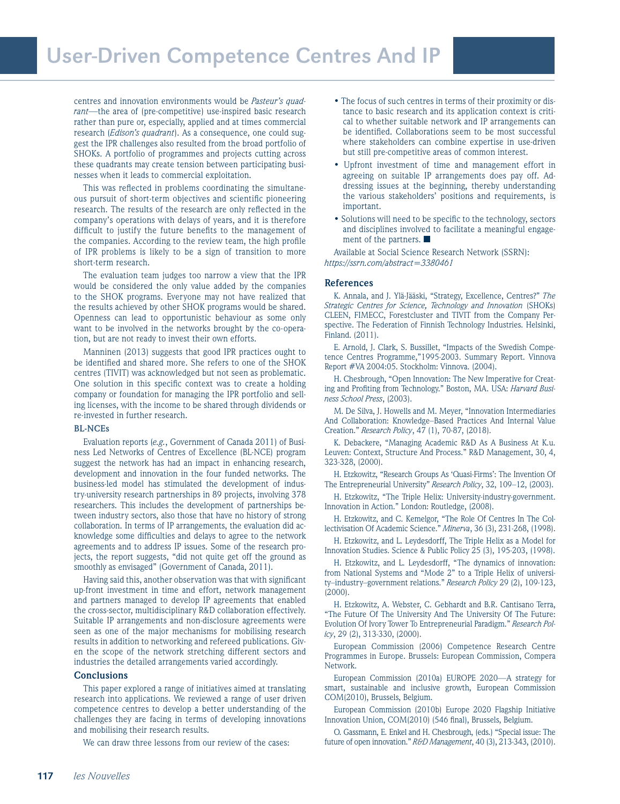centres and innovation environments would be *Pasteur's quadrant*—the area of (pre-competitive) use-inspired basic research rather than pure or, especially, applied and at times commercial research (*Edison's quadrant*). As a consequence, one could suggest the IPR challenges also resulted from the broad portfolio of SHOKs. A portfolio of programmes and projects cutting across these quadrants may create tension between participating businesses when it leads to commercial exploitation.

This was reflected in problems coordinating the simultaneous pursuit of short-term objectives and scientific pioneering research. The results of the research are only reflected in the company's operations with delays of years, and it is therefore difficult to justify the future benefits to the management of the companies. According to the review team, the high profile of IPR problems is likely to be a sign of transition to more short-term research.

The evaluation team judges too narrow a view that the IPR would be considered the only value added by the companies to the SHOK programs. Everyone may not have realized that the results achieved by other SHOK programs would be shared. Openness can lead to opportunistic behaviour as some only want to be involved in the networks brought by the co-operation, but are not ready to invest their own efforts.

Manninen (2013) suggests that good IPR practices ought to be identified and shared more. She refers to one of the SHOK centres (TIVIT) was acknowledged but not seen as problematic. One solution in this specific context was to create a holding company or foundation for managing the IPR portfolio and selling licenses, with the income to be shared through dividends or re-invested in further research.

#### **BL-NCEs**

Evaluation reports (*e.g.*, Government of Canada 2011) of Business Led Networks of Centres of Excellence (BL-NCE) program suggest the network has had an impact in enhancing research, development and innovation in the four funded networks. The business-led model has stimulated the development of industry-university research partnerships in 89 projects, involving 378 researchers. This includes the development of partnerships between industry sectors, also those that have no history of strong collaboration. In terms of IP arrangements, the evaluation did acknowledge some dificulties and delays to agree to the network agreements and to address IP issues. Some of the research projects, the report suggests, "did not quite get off the ground as smoothly as envisaged" (Government of Canada, 2011).

Having said this, another observation was that with significant up-front investment in time and effort, network management and partners managed to develop IP agreements that enabled the cross-sector, multidisciplinary R&D collaboration effectively. Suitable IP arrangements and non-disclosure agreements were seen as one of the major mechanisms for mobilising research results in addition to networking and refereed publications. Given the scope of the network stretching different sectors and industries the detailed arrangements varied accordingly.

#### **Conclusions**

This paper explored a range of initiatives aimed at translating research into applications. We reviewed a range of user driven competence centres to develop a better understanding of the challenges they are facing in terms of developing innovations and mobilising their research results.

We can draw three lessons from our review of the cases:

- The focus of such centres in terms of their proximity or distance to basic research and its application context is critical to whether suitable network and IP arrangements can be identified. Collaborations seem to be most successful where stakeholders can combine expertise in use-driven but still pre-competitive areas of common interest.
- Upfront investment of time and management effort in agreeing on suitable IP arrangements does pay off. Addressing issues at the beginning, thereby understanding the various stakeholders' positions and requirements, is important.
- Solutions will need to be specific to the technology, sectors and disciplines involved to facilitate a meaningful engagement of the partners. ■

Available at Social Science Research Network (SSRN): *https://ssrn.com/abstract=3380461*

#### **References**

K. Annala, and J. Ylä-Jääski, "Strategy, Excellence, Centres?" *The Strategic Centres for Science, Technology and Innovation* (SHOKs) CLEEN, FIMECC, Forestcluster and TIVIT from the Company Perspective. The Federation of Finnish Technology Industries. Helsinki, Finland. (2011).

E. Arnold, J. Clark, S. Bussillet, "Impacts of the Swedish Competence Centres Programme,"1995-2003. Summary Report. Vinnova Report #VA 2004:05. Stockholm: Vinnova. (2004).

H. Chesbrough, "Open Innovation: The New Imperative for Creating and Profiting from Technology." Boston, MA. USA: *Harvard Business School Press*, (2003).

M. De Silva, J. Howells and M. Meyer, "Innovation Intermediaries And Collaboration: Knowledge–Based Practices And Internal Value Creation." *Research Policy*, 47 (1), 70-87, (2018).

K. Debackere, "Managing Academic R&D As A Business At K.u. Leuven: Context, Structure And Process." R&D Management, 30, 4, 323-328, (2000).

H. Etzkowitz, "Research Groups As 'Quasi-Firms': The Invention Of The Entrepreneurial University" *Research Policy*, 32, 109–12, (2003).

H. Etzkowitz, "The Triple Helix: University-industry-government. Innovation in Action." London: Routledge, (2008).

H. Etzkowitz, and C. Kemelgor, "The Role Of Centres In The Collectivisation Of Academic Science." *Minerva*, 36 (3), 231-268, (1998).

H. Etzkowitz, and L. Leydesdorff, The Triple Helix as a Model for Innovation Studies. Science & Public Policy 25 (3), 195-203, (1998).

H. Etzkowitz, and L. Leydesdorff, "The dynamics of innovation: from National Systems and "Mode 2" to a Triple Helix of university–industry–government relations." *Research Policy* 29 (2), 109-123, (2000).

H. Etzkowitz, A. Webster, C. Gebhardt and B.R. Cantisano Terra, "The Future Of The University And The University Of The Future: Evolution Of Ivory Tower To Entrepreneurial Paradigm." *Research Policy*, 29 (2), 313-330, (2000).

European Commission (2006) Competence Research Centre Programmes in Europe. Brussels: European Commission, Compera Network.

European Commission (2010a) EUROPE 2020—A strategy for smart, sustainable and inclusive growth, European Commission COM(2010), Brussels, Belgium.

European Commission (2010b) Europe 2020 Flagship Initiative Innovation Union, COM(2010) (546 final), Brussels, Belgium.

O. Gassmann, E. Enkel and H. Chesbrough, (eds.) "Special issue: The future of open innovation." *R&D Management*, 40 (3), 213-343, (2010).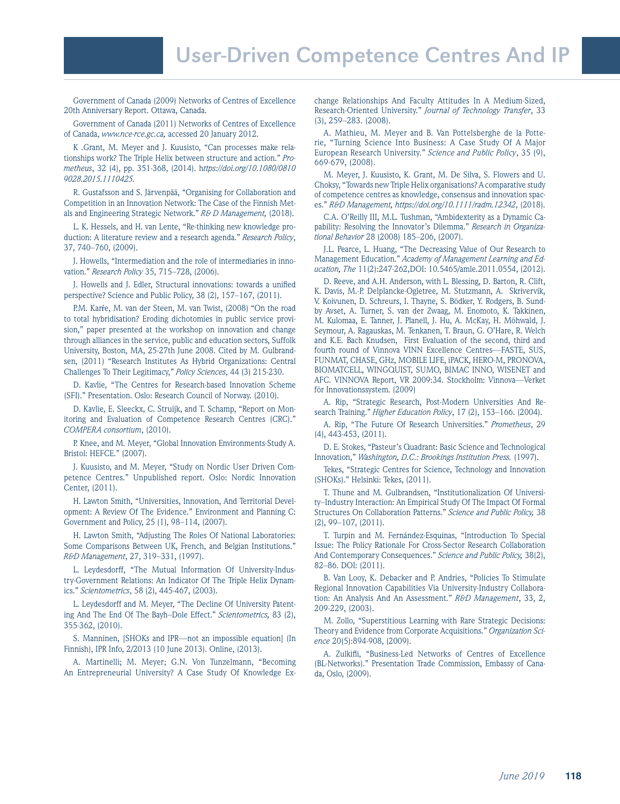Government of Canada (2009) Networks of Centres of Excellence 20th Anniversary Report. Ottawa, Canada.

Government of Canada (2011) Networks of Centres of Excellence of Canada, *www.nce-rce.gc.ca,* accessed 20 January 2012.

K .Grant, M. Meyer and J. Kuusisto, "Can processes make relationships work? The Triple Helix between structure and action." *Prometheus*, 32 (4), pp. 351-368, (2014). h*ttps://doi.org/10.1080/0810 9028.2015.1110425.*

R. Gustafsson and S. Järvenpää, "Organising for Collaboration and Competition in an Innovation Network: The Case of the Finnish Metals and Engineering Strategic Network." *R& D Management,* (2018).

L. K. Hessels, and H. van Lente, "Re-thinking new knowledge production: A literature review and a research agenda." *Research Policy*, 37, 740–760, (2009).

J. Howells, "Intermediation and the role of intermediaries in innovation." *Research Policy* 35, 715–728, (2006).

J. Howells and J. Edler, Structural innovations: towards a unified perspective? Science and Public Policy, 38 (2), 157–167, (2011).

P.M. Karŕe, M. van der Steen, M. van Twist, (2008) "On the road to total hybridisation? Eroding dichotomies in public service provision," paper presented at the workshop on innovation and change through alliances in the service, public and education sectors, Suffolk University, Boston, MA, 25-27th June 2008. Cited by M. Gulbrandsen, (2011) "Research Institutes As Hybrid Organizations: Central Challenges To Their Legitimacy," *Policy Sciences*, 44 (3) 215-230.

D. Kavlie, "The Centres for Research-based Innovation Scheme (SFI)." Presentation. Oslo: Research Council of Norway. (2010).

D. Kavlie, E. Sleeckx, C. Struijk, and T. Schamp, "Report on Monitoring and Evaluation of Competence Research Centres (CRC)." *COMPERA consortium*, (2010).

P. Knee, and M. Meyer, "Global Innovation Environments-Study A. Bristol: HEFCE." (2007).

J. Kuusisto, and M. Meyer, "Study on Nordic User Driven Competence Centres." Unpublished report. Oslo: Nordic Innovation Center, (2011).

H. Lawton Smith, "Universities, Innovation, And Territorial Development: A Review Of The Evidence." Environment and Planning C: Government and Policy, 25 (1), 98–114, (2007).

H. Lawton Smith, "Adjusting The Roles Of National Laboratories: Some Comparisons Between UK, French, and Belgian Institutions." *R&D Management*, 27, 319–331, (1997).

L. Leydesdorff, "The Mutual Information Of University-Industry-Government Relations: An Indicator Of The Triple Helix Dynamics." *Scientometrics*, 58 (2), 445-467, (2003).

L. Leydesdorff and M. Meyer, "The Decline Of University Patenting And The End Of The Bayh–Dole Effect." *Scientometrics,* 83 (2), 355-362, (2010).

S. Manninen, [SHOKs and IPR—not an impossible equation] (In Finnish), IPR Info, 2/2013 (10 June 2013). Online, (2013).

A. Martinelli; M. Meyer; G.N. Von Tunzelmann, "Becoming An Entrepreneurial University? A Case Study Of Knowledge Exchange Relationships And Faculty Attitudes In A Medium-Sized, Research-Oriented University." *Journal of Technology Transfer*, 33 (3), 259–283. (2008).

A. Mathieu, M. Meyer and B. Van Pottelsberghe de la Potterie, "Turning Science Into Business: A Case Study Of A Major European Research University." *Science and Public Policy*, 35 (9), 669-679, (2008).

M. Meyer, J. Kuusisto, K. Grant, M. De Silva, S. Flowers and U. Choksy, "Towards new Triple Helix organisations? A comparative study of competence centres as knowledge, consensus and innovation spaces." *R&D Management, https://doi.org/10.1111/radm.12342*, (2018).

C.A. O'Reilly III, M.L. Tushman, "Ambidexterity as a Dynamic Capability: Resolving the Innovator's Dilemma." *Research in Organizational Behavior* 28 (2008) 185–206, (2007).

J.L. Pearce, L. Huang, "The Decreasing Value of Our Research to Management Education." *Academy of Management Learning and Education, The* 11(2):247-262,DOI: 10.5465/amle.2011.0554, (2012).

D. Reeve, and A.H. Anderson, with L. Blessing, D. Barton, R. Clift, K. Davis, M.-P. Delplancke-Ogletree, M. Stutzmann, A. Skrivervik, V. Koivunen, D. Schreurs, I. Thayne, S. Bödker, Y. Rodgers, B. Sundby Avset, A. Turner, S. van der Zwaag, M. Enomoto, K. Takkinen, M. Kulomaa, E. Tanner, J. Planell, J. Hu, A. McKay, H. Möhwald, J. Seymour, A. Ragauskas, M. Tenkanen, T. Braun, G. O'Hare, R. Welch and K.E. Bach Knudsen, First Evaluation of the second, third and fourth round of Vinnova VINN Excellence Centres—FASTE, SUS, FUNMAT, CHASE, GHz, MOBILE LIFE, iPACK, HERO-M, PRONOVA, BIOMATCELL, WINGQUIST, SUMO, BIMAC INNO, WISENET and AFC. VINNOVA Report, VR 2009:34. Stockholm: Vinnova—Verket för Innovationssystem. (2009)

A. Rip, "Strategic Research, Post-Modern Universities And Research Training." *Higher Education Policy*, 17 (2), 153–166. (2004).

A. Rip, "The Future Of Research Universities." *Prometheus*, 29 (4), 443-453, (2011).

D. E. Stokes, "Pasteur's Quadrant: Basic Science and Technological Innovation," *Washington, D.C.: Brookings Institution Press.* (1997).

Tekes, "Strategic Centres for Science, Technology and Innovation (SHOKs)." Helsinki: Tekes, (2011).

T. Thune and M. Gulbrandsen, "Institutionalization Of University–Industry Interaction: An Empirical Study Of The Impact Of Formal Structures On Collaboration Patterns." *Science and Public Policy,* 38 (2), 99–107, (2011).

T. Turpin and M. Fernández-Esquinas, "Introduction To Special Issue: The Policy Rationale For Cross-Sector Research Collaboration And Contemporary Consequences." *Science and Public Policy,* 38(2), 82–86. DOI: (2011).

B. Van Looy, K. Debacker and P. Andries, "Policies To Stimulate Regional Innovation Capabilities Via University-Industry Collaboration: An Analysis And An Assessment." *R&D Management*, 33, 2, 209-229, (2003).

M. Zollo, "Superstitious Learning with Rare Strategic Decisions: Theory and Evidence from Corporate Acquisitions." *Organization Science* 20(5):894-908, (2009).

A. Zulkifli, "Business-Led Networks of Centres of Excellence (BL-Networks)." Presentation Trade Commission, Embassy of Canada, Oslo, (2009).